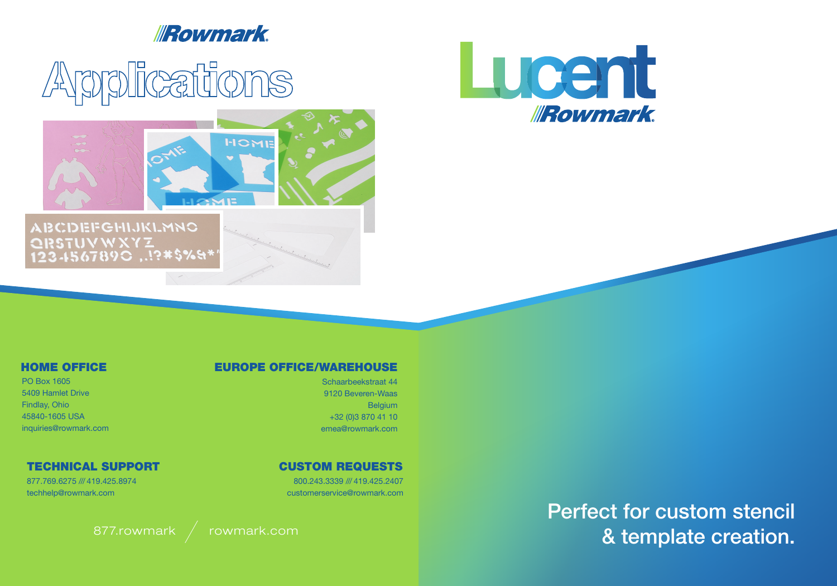# **IRowmark**

# Arpplications



# **ABCDEFGHIJKLMNO** QRSTUVWXYZ<br>123.4567890 ,.!?#\$%&\*

### HOME OFFICE

PO Box 1605 5409 Hamlet Drive Findlay, Ohio 45840-1605 USA inquiries@rowmark.com

### TECHNICAL SUPPORT

877.769.6275 /// 419.425.8974 techhelp@rowmark.com

## CUSTOM REQUESTS

800.243.3339 /// 419.425.2407 customerservice@rowmark.com

Perfect for custom stencil 877.rowmark / rowmark.com **1999. The set of the set of the set of the set of the set of the set of the set of the set of the set of the set of the set of the set of the set of the set of the set of the set of the set of th** 



Schaarbeekstraat 44 9120 Beveren-Waas Belgium +32 (0)3 870 41 10 emea@rowmark.com

EUROPE OFFICE/WAREHOUSE